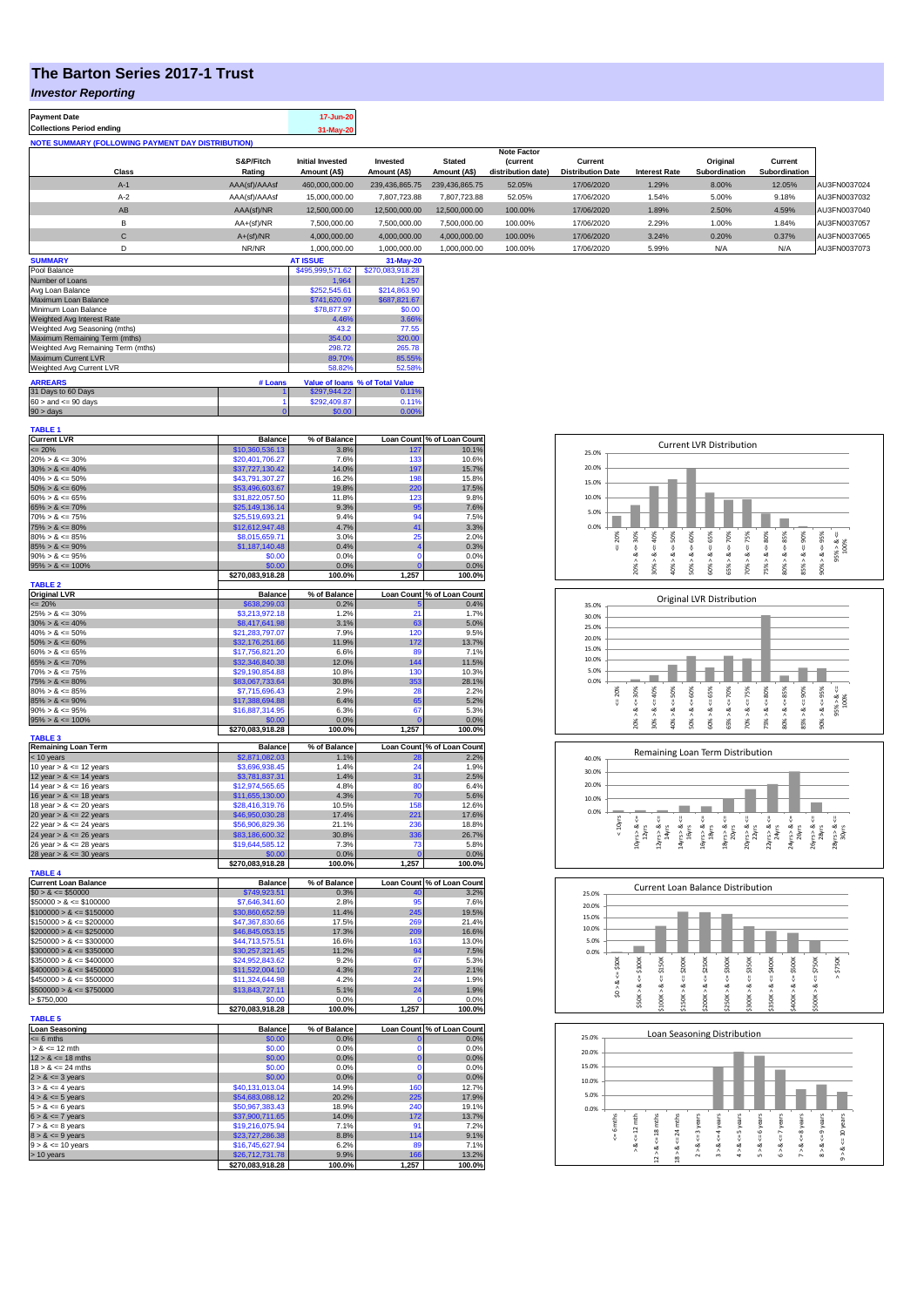## **The Barton Series 2017-1 Trust**

### *Investor Reporting*

| <b>Payment Date</b><br><b>Collections Period ending</b>  |               | 17-Jun-20<br>31-May-20  |                |                |                                      |                          |                      |               |               |              |
|----------------------------------------------------------|---------------|-------------------------|----------------|----------------|--------------------------------------|--------------------------|----------------------|---------------|---------------|--------------|
| <b>NOTE SUMMARY (FOLLOWING PAYMENT DAY DISTRIBUTION)</b> |               |                         |                |                |                                      |                          |                      |               |               |              |
|                                                          | S&P/Fitch     | <b>Initial Invested</b> | Invested       | <b>Stated</b>  | <b>Note Factor</b><br><b>Current</b> | Current                  |                      | Original      | Current       |              |
| Class                                                    | Rating        | Amount (A\$)            | Amount (A\$)   | Amount (A\$)   | distribution date)                   | <b>Distribution Date</b> | <b>Interest Rate</b> | Subordination | Subordination |              |
| $A-1$                                                    | AAA(sf)/AAAsf | 460,000,000.00          | 239.436.865.75 | 239.436.865.75 | 52.05%                               | 17/06/2020               | 1.29%                | 8.00%         | 12.05%        | AU3FN0037024 |
| $A-2$                                                    | AAA(sf)/AAAsf | 15,000,000.00           | 7,807,723.88   | 7.807.723.88   | 52.05%                               | 17/06/2020               | 1.54%                | 5.00%         | 9.18%         | AU3FN0037032 |
| AB                                                       | AAA(sf)/NR    | 12,500,000.00           | 12,500,000.00  | 12,500,000.00  | 100.00%                              | 17/06/2020               | 1.89%                | 2.50%         | 4.59%         | AU3FN0037040 |
| B                                                        | $AA+(sf)/NR$  | 7.500.000.00            | 7,500,000.00   | 7.500.000.00   | 100.00%                              | 17/06/2020               | 2.29%                | 1.00%         | 1.84%         | AU3FN0037057 |
| С                                                        | $A+(sf)/NR$   | 4.000.000.00            | 4.000.000.00   | 4,000,000.00   | 100.00%                              | 17/06/2020               | 3.24%                | 0.20%         | 0.37%         | AU3FN0037065 |
| D                                                        | NR/NR         | 1.000.000.00            | 1.000.000.00   | 1,000,000.00   | 100.00%                              | 17/06/2020               | 5.99%                | N/A           | N/A           | AU3FN0037073 |
| <b>SUMMARY</b>                                           |               | <b>AT ISSUE</b>         | 31-May-20      |                |                                      |                          |                      |               |               |              |

| Pool Balance                       |         | \$495,999,571.62 | \$270,083,918.28                |
|------------------------------------|---------|------------------|---------------------------------|
| Number of Loans                    |         | 1.964            | 1.257                           |
| Avg Loan Balance                   |         | \$252,545.61     | \$214,863.90                    |
| Maximum Loan Balance               |         | \$741,620.09     | \$687,821.67                    |
| Minimum Loan Balance               |         | \$78,877.97      | \$0.00                          |
| Weighted Avg Interest Rate         |         | 4.46%            | 3.66%                           |
| Weighted Avg Seasoning (mths)      |         | 43.2             | 77.55                           |
| Maximum Remaining Term (mths)      |         | 354.00           | 320.00                          |
| Weighted Avg Remaining Term (mths) | 298.72  | 265.78           |                                 |
| Maximum Current LVR                |         | 89.70%           | 85.55%                          |
| Weighted Avg Current LVR           |         | 58.82%           | 52.58%                          |
| <b>ARREARS</b>                     | # Loans |                  | Value of Ioans % of Total Value |
| 31 Days to 60 Days                 |         | \$297.944.22     | 0.11%                           |
| $60 >$ and $\leq 90$ days          |         | \$292.409.87     | 0.11%                           |
| $90 >$ days                        | 0       | \$0.00           | 0.00%                           |
|                                    |         |                  |                                 |

| <b>Current LVR</b>                 |                                    |                |                   |                            |
|------------------------------------|------------------------------------|----------------|-------------------|----------------------------|
|                                    | <b>Balance</b>                     | % of Balance   |                   | Loan Count % of Loan Count |
| $= 20%$                            | \$10,360,536.13                    | 3.8%           | 127               | 10.1%                      |
| $20\% > 8 \le 30\%$                | \$20,401,706.27                    | 7.6%           | 133               | 10.6%                      |
| $30\% > 8 \le 40\%$                | \$37,727,130.42                    | 14.0%          | 197               | 15.7%                      |
| $40\% > 8 \le 50\%$                | \$43,791,307.27                    | 16.2%          | 198               | 15.8%                      |
| $50\% > 8 \le 60\%$                | \$53,496,603.67                    | 19.8%          | 220               | 17.5%                      |
| $60\% > 8 \le 65\%$                | \$31,822,057.50                    | 11.8%          | 123               | 9.8%                       |
| $65\% > 8 \le 70\%$                | \$25,149,136.14                    | 9.3%           | 95                | 7.6%                       |
| $70\% > 8 \le 75\%$                | \$25,519,693.21                    | 9.4%           | 94                | 7.5%                       |
| $75\% > 8 \le 80\%$                | \$12,612,947.48                    | 4.7%           | 41                | 3.3%                       |
| $80\% > 8 \le 85\%$                | \$8,015,659.71                     | 3.0%           | 25                | 2.0%                       |
| $85\% > 8 \le 90\%$                | \$1,187,140.48                     | 0.4%           | $\overline{4}$    | 0.3%                       |
| $90\% > 8 \le 95\%$                | \$0.00                             | 0.0%           | $\mathbf 0$       | 0.0%                       |
| $95\% > 8 \le 100\%$               | \$0.00                             | 0.0%           | $\mathbf{0}$      | 0.0%                       |
|                                    | \$270,083,918.28                   | 100.0%         | 1,257             | 100.0%                     |
| <b>TABLE 2</b>                     |                                    |                |                   |                            |
| <b>Original LVR</b>                | <b>Balance</b>                     | % of Balance   | <b>Loan Count</b> | % of Loan Count            |
| $= 20%$                            | \$638,299.03                       | 0.2%           |                   | 0.4%                       |
| $25\% > 8 \le 30\%$                | \$3,213,972.18                     | 1.2%           | 21                | 1.7%                       |
| $30\% > 8 \le 40\%$                | \$8,417,641.98                     | 3.1%           | 63                | 5.0%                       |
| $40\% > 8 \le 50\%$                | \$21,283,797.07                    | 7.9%           | 120               | 9.5%                       |
| $50\% > 8 \le 60\%$                | \$32,176,251.66                    | 11.9%          | 172               | 13.7%                      |
| $60\% > 8 \le 65\%$                | \$17,756,821.20                    | 6.6%           | 89                | 7.1%                       |
| $65\% > 8 \le 70\%$                | \$32,346,840.38                    | 12.0%          | 144               | 11.5%                      |
| $70\% > 8 \le 75\%$                | \$29,190,854.88                    | 10.8%          | 130               | 10.3%                      |
| $75\% > 8 \le 80\%$                | \$83,067,733.64                    | 30.8%          | 353               | 28.1%                      |
| $80\% > 8 \le 85\%$                | \$7,715,696.43                     | 2.9%           | 28                | 2.2%                       |
| $85\% > 8 \le 90\%$                | \$17,388,694.88                    | 6.4%           | 65                | 5.2%                       |
| $90\% > 8 \le 95\%$                | \$16,887,314.95                    | 6.3%           | 67                | 5.3%                       |
| $95\% > 8 \le 100\%$               | \$0.00                             | 0.0%           | $\sqrt{2}$        |                            |
|                                    |                                    |                |                   | 0.0%<br>100.0%             |
| <b>TABLE 3</b>                     | \$270,083,918.28                   | 100.0%         | 1,257             |                            |
| <b>Remaining Loan Term</b>         | <b>Balance</b>                     | % of Balance   | <b>Loan Count</b> | % of Loan Count            |
| < 10 years                         | \$2,871,082.03                     | 1.1%           | 28                | 2.2%                       |
| 10 year $> 8 \le 12$ years         | \$3,696,938.45                     | 1.4%           | 24                | 1.9%                       |
| 12 year $> 8 \le 14$ years         | \$3,781,837.31                     | 1.4%           | 31                | 2.5%                       |
| 14 year $> 8 \le 16$ years         | \$12,974,565.65                    | 4.8%           | 80                | 6.4%                       |
| 16 year $> 8 \le 18$ years         | \$11,655,130.00                    | 4.3%           | 70                | 5.6%                       |
| 18 year $> 8 \le 20$ years         | \$28,416,319.76                    | 10.5%          | 158               | 12.6%                      |
| 20 year $> 8 \le 22$ years         | \$46,950,030.28                    | 17.4%          | 221               | 17.6%                      |
| 22 year $> 8 \le 24$ years         | \$56,906,829.36                    | 21.1%          | 236               | 18.8%                      |
| 24 year $> 8 \le 26$ years         | \$83,186,600.32                    | 30.8%          | 336               | 26.7%                      |
|                                    |                                    |                |                   |                            |
|                                    |                                    |                |                   |                            |
| 26 year $> 8 \le 28$ years         | \$19,644,585.12                    | 7.3%           | 73                | 5.8%                       |
| 28 year $> 8 < = 30$ years         | \$0.00                             | 0.0%           | $\mathbf{0}$      | 0.0%                       |
|                                    | \$270,083,918.28                   | 100.0%         | 1,257             | 100.0%                     |
| <b>TABLE 4</b>                     |                                    |                |                   |                            |
| <b>Current Loan Balance</b>        | <b>Balance</b>                     | % of Balance   |                   | Loan Count % of Loan Count |
| $$0 > 8 \le $50000$                | \$749,923.51                       | 0.3%           | 40                | 3.2%                       |
| $$50000 > 8 \le $100000$           | \$7,646,341.60                     | 2.8%           | 95                | 7.6%                       |
| $$100000 > 8 \le $150000$          | \$30,860,652.59                    | 11.4%          | 245               | 19.5%                      |
| $$150000 > 8 \le $200000$          | \$47,367,830.66                    | 17.5%          | 269               | 21.4%                      |
| $$200000 > 8 \le $250000$          | \$46,845,053.15                    | 17.3%          | 209               | 16.6%                      |
| $$250000 > 8 \le $300000$          | \$44,713,575.51                    | 16.6%          | 163               | 13.0%                      |
| $$300000 > 8 \leq $350000$         | \$30,257,321.45                    | 11.2%          | 94                | 7.5%                       |
| $$350000 > 8 \le $400000$          | \$24,952,843.62                    | 9.2%           | 67                | 5.3%                       |
| $$400000 > 8 \le $450000$          | \$11,522,004.10                    | 4.3%           | 27                | 2.1%                       |
| $$450000 > 8 \le $500000$          | \$11,324,644.98                    | 4.2%           | 24                | 1.9%                       |
| $$500000 > 8 \le $750000$          | \$13,843,727.11                    | 5.1%           | 24                | 1.9%                       |
| > \$750,000                        | \$0.00                             | 0.0%           | C                 | 0.0%                       |
|                                    | \$270,083,918.28                   | 100.0%         | 1,257             | 100.0%                     |
| <b>TABLE 5</b>                     |                                    |                |                   |                            |
| <b>Loan Seasoning</b>              | <b>Balance</b>                     | % of Balance   |                   | Loan Count % of Loan Count |
| $= 6$ mths                         | \$0.00                             | 0.0%           | O                 | 0.0%                       |
| $> 8 \le 12$ mth                   | \$0.00                             | 0.0%           | $\Omega$          | 0.0%                       |
| $12 > 8 \le 18$ mths               | \$0.00                             | 0.0%           | $\mathbf 0$       | 0.0%                       |
| $18 > 8 \le 24$ mths               | \$0.00                             | 0.0%           | $\mathbf 0$       | 0.0%                       |
| $2 > 8 \le 3$ years                | \$0.00                             | 0.0%           | $\mathbf 0$       | 0.0%                       |
| $3 > 8 \leq 4$ years               | \$40,131,013.04                    | 14.9%          | 160               | 12.7%                      |
| $4 > 8 \le 5$ years                | \$54,683,088.12                    | 20.2%          | 225               | 17.9%                      |
|                                    |                                    |                |                   | 19.1%                      |
| $5 > 8 \le 6$ years                | \$50,967,383.43                    | 18.9%<br>14.0% | 240               | 13.7%                      |
| $6 > 8 \le 7$ years                | \$37,900,711.65                    |                | 172               |                            |
| $7 > 8 \le 8$ years                | \$19,216,075.94                    | 7.1%           | 91                | 7.2%                       |
| $8 > 8 \leq 9$ years               | \$23,727,286.38                    | 8.8%<br>6.2%   | 114<br><b>RC</b>  | 9.1%                       |
| $9 > 8 \le 10$ years<br>> 10 years | \$16,745,627.94<br>\$26,712,731.78 | 9.9%           | 166               | 7.1%<br>13.2%              |

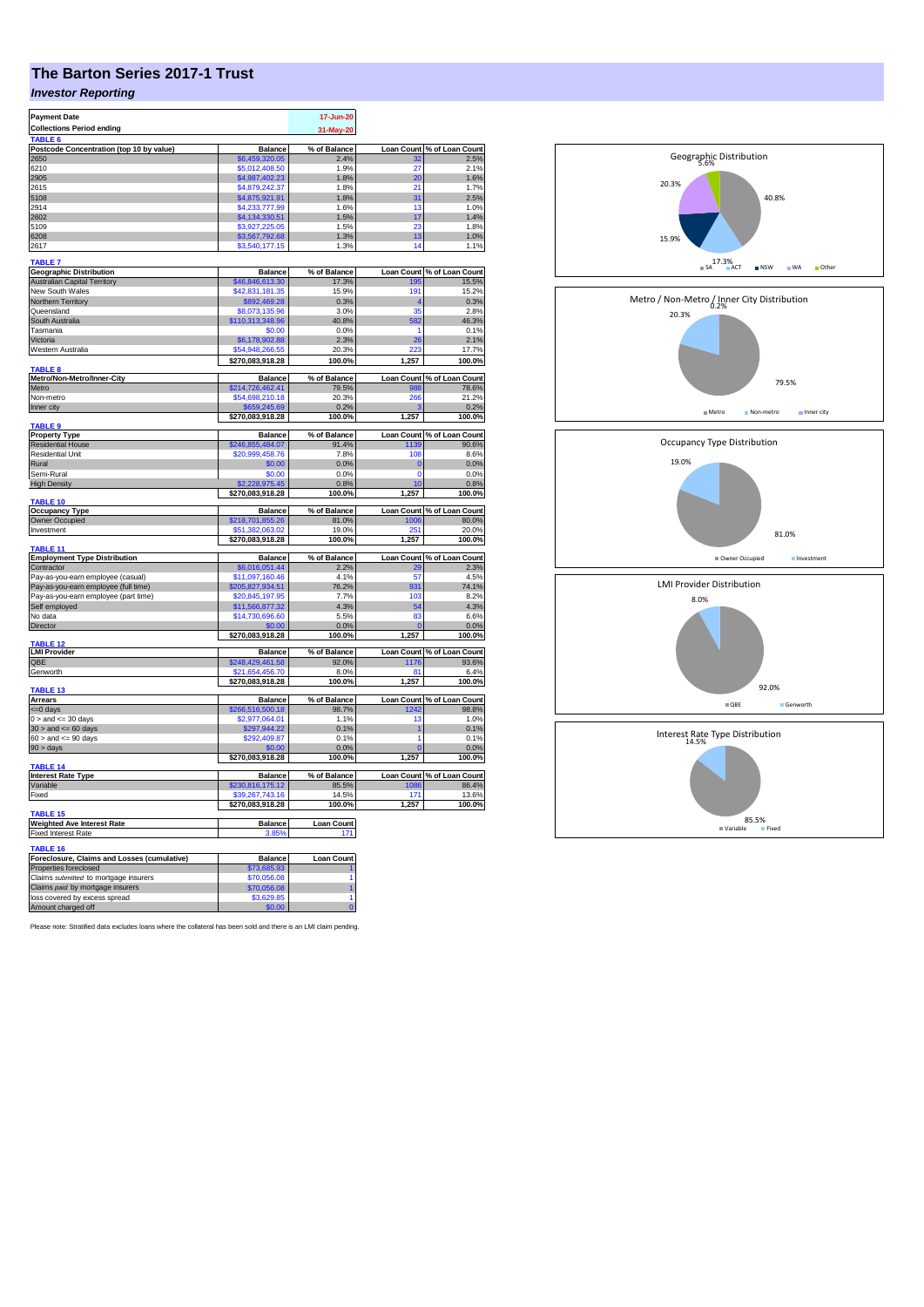# **The Barton Series 2017-1 Trust**

## *Investor Reporting*

| <b>Payment Date</b>                                   |                                     | 17-Jun-20            |                   |                                     |
|-------------------------------------------------------|-------------------------------------|----------------------|-------------------|-------------------------------------|
| <b>Collections Period ending</b>                      |                                     | 31-May-20            |                   |                                     |
| TABLE 6                                               |                                     |                      |                   |                                     |
| Postcode Concentration (top 10 by value)              | <b>Balance</b>                      | % of Balance         |                   | Loan Count % of Loan Count          |
| 2650                                                  | \$6,459,320.05                      | 2.4%                 | 32                | 2.5%                                |
| 6210                                                  | \$5,012,408.50                      | 1.9%                 | 27                | 2.1%                                |
| 2905                                                  | \$4,987,402.23                      | 1.8%                 | 20                | 1.6%                                |
| 2615<br>5108                                          | \$4,879,242.37                      | 1.8%<br>1.8%         | 21<br>31          | 1.7%<br>2.5%                        |
| 2914                                                  | \$4,875,921.91                      | 1.6%                 | 13                | 1.0%                                |
| 2602                                                  | \$4,233,777.99<br>\$4,134,330.51    | 1.5%                 | 17                | 1.4%                                |
| 5109                                                  | \$3,927,225.05                      | 1.5%                 | 23                | 1.8%                                |
| 6208                                                  | \$3,567,792.68                      | 1.3%                 | 13                | 1.0%                                |
| 2617                                                  | \$3,540,177.15                      | 1.3%                 | 14                | 1.1%                                |
|                                                       |                                     |                      |                   |                                     |
| <b>TABLE 7</b>                                        |                                     |                      |                   |                                     |
| <b>Geographic Distribution</b>                        | <b>Balance</b>                      | % of Balance         |                   | Loan Count % of Loan Count          |
| <b>Australian Capital Territory</b>                   | \$46,846,613.30                     | 17.3%                | <b>195</b>        | 15.5%                               |
| New South Wales                                       | \$42,831,181.35                     | 15.9%                | 191               | 15.2%                               |
| Northern Territory                                    | \$892,469.28                        | 0.3%                 |                   | 0.3%                                |
| Queensland                                            | \$8,073,135.96                      | 3.0%                 | 35                | 2.8%                                |
| South Australia                                       | \$110,313,348.96                    | 40.8%                | 582               | 46.3%                               |
| Tasmania                                              | \$0.00                              | 0.0%                 | 1                 | 0.1%                                |
| Victoria                                              | \$6,178,902.88<br>\$54,948,266,55   | 2.3%                 | 26<br>יממ         | 2.1%                                |
| Western Australia                                     |                                     | 20.3%                |                   | 17.7%                               |
| <b>TABLE 8</b>                                        | \$270,083,918.28                    | 100.0%               | 1,257             | 100.0%                              |
| Metro/Non-Metro/Inner-City                            | <b>Balance</b>                      | % of Balance         |                   | Loan Count % of Loan Count          |
| Metro                                                 | 6214,726,462.41                     | 79.5%                |                   | 78.6%                               |
| Non-metro                                             | \$54,698,210.18                     | 20.3%                | 266               | 21.2%                               |
| Inner city                                            | \$659,245.69                        | 0.2%                 |                   | 0.2%                                |
|                                                       | \$270,083,918.28                    | 100.0%               | 1,257             | 100.0%                              |
| TABLE <sub>9</sub><br><b>Property Type</b>            | <b>Balance</b>                      | % of Balance         |                   |                                     |
|                                                       |                                     |                      |                   | Loan Count % of Loan Count<br>90.6% |
| <b>Residential House</b><br><b>Residential Unit</b>   | \$246,855,484.07<br>\$20,999,458.76 | 91.4%<br>7.8%        | 1139<br>108       | 8.6%                                |
| Rural                                                 | \$0.00                              | 0.0%                 | C                 | 0.0%                                |
| Semi-Rural                                            | \$0.00                              | 0.0%                 | $\Omega$          | 0.0%                                |
| <b>High Density</b>                                   | \$2,228,975.45                      | 0.8%                 | 10                | 0.8%                                |
|                                                       | \$270,083,918.28                    | 100.0%               | 1,257             | 100.0%                              |
| TABLE 10                                              |                                     |                      |                   |                                     |
| <b>Occupancy Type</b>                                 | <b>Balance</b>                      | % of Balance         | <b>Loan Count</b> | % of Loan Count                     |
| Owner Occupied                                        | \$218,701,855.26                    | 81.0%                | 1006              | 80.0%                               |
| Investment                                            | 51.382.063.02                       | 19.0%                | 251               | 20.0%                               |
|                                                       | \$270,083,918.28                    | 100.0%               | 1,257             | 100.0%                              |
| TABLE 11                                              |                                     |                      |                   |                                     |
| <b>Employment Type Distribution</b><br>Contractor     | <b>Balance</b>                      | % of Balance<br>2.2% |                   | Loan Count % of Loan Count<br>2.3%  |
|                                                       | \$6,016,051.44                      | 4.1%                 | 29<br>57          | 4.5%                                |
| Pay-as-you-earn employee (casual)                     | \$11,097,160.46<br>\$205,827,934.51 | 76.2%                | 931               | 74.1%                               |
| Pay-as-you-earn employee (full time)                  | \$20,845,197.95                     | 7.7%                 | 103               | 8.2%                                |
| Pay-as-you-earn employee (part time)<br>Self employed | \$11,566,877.32                     | 4.3%                 | 54                | 4.3%                                |
| No data                                               | \$14,730,696.60                     | 5.5%                 | 83                | 6.6%                                |
| Director                                              |                                     | 0.0%                 |                   | 0.0%                                |
|                                                       | \$270,083,918.28                    | 100.0%               | 1,257             | 100.0%                              |
| <b>ABLE 12</b>                                        |                                     |                      |                   |                                     |
| <b>LMI Provider</b>                                   | <b>Balance</b>                      | % of Balance         |                   | Loan Count % of Loan Count          |
| QBE                                                   | \$248,429,461.58                    | 92.0%                | 1176              | 93.6%                               |
| Genworth                                              | \$21,654,456.70                     | 8.0%                 | 81                | 6.4%                                |
|                                                       | \$270,083,918.28                    | 100.0%               | 1,257             | 100.0%                              |
| TABLE <sub>13</sub><br><b>Arrears</b>                 | <b>Balance</b>                      | % of Balance         |                   | Loan Count % of Loan Count          |
| <= 0 days                                             | \$266,516,500.18                    | 98.7%                | 1242              | 98.8%                               |
| $0 >$ and $\leq$ 30 days                              | \$2,977,064.01                      | 1.1%                 | 13                | 1.0%                                |
| $30 >$ and $\leq 60$ days                             | \$297,944.22                        | 0.1%                 | 1                 | 0.1%                                |
| $60 >$ and $\leq 90$ days                             | \$292,409.87                        | 0.1%                 | 1                 | 0.1%                                |
| $90 > \text{days}$                                    | \$0.00                              | 0.0%                 |                   | 0.0%                                |
|                                                       | \$270,083,918.28                    | 100.0%               | 1,257             | 100.0%                              |
| TABLE 14                                              |                                     |                      |                   |                                     |
| <b>Interest Rate Type</b>                             | <b>Balance</b>                      | % of Balance         |                   | Loan Count % of Loan Count          |
| Variable                                              | \$230,816,175.12                    | 85.5%                | 1086              | 86.4%                               |
| Fixed                                                 | \$39,267,743.16                     | 14.5%                | 171               | 13.6%                               |
|                                                       | \$270,083,918.28                    | 100.0%               | 1,257             | 100.0%                              |
| <b>TABLE 15</b><br><b>Weighted Ave Interest Rate</b>  | <b>Balance</b>                      | <b>Loan Count</b>    |                   |                                     |
| <b>Fixed Interest Rate</b>                            | 3.85%                               | 171                  |                   |                                     |
|                                                       |                                     |                      |                   |                                     |
| TABLE 16                                              |                                     |                      |                   |                                     |
| Foreclosure, Claims and Losses (cumulative)           | <b>Balance</b>                      | <b>Loan Count</b>    |                   |                                     |
| Properties foreclosed                                 | \$73,685,93                         |                      |                   |                                     |
| Claims submitted to mortgage insurers                 | \$70.056.08                         |                      |                   |                                     |
| Claims paid by mortgage insurers                      | \$70,056.08<br>\$3,629.85           | 1                    |                   |                                     |
| loss covered by excess spread<br>Amount charged off   | \$0.00                              |                      |                   |                                     |
|                                                       |                                     |                      |                   |                                     |

Please note: Stratified data excludes loans where the collateral has been sold and there is an LMI claim pending.